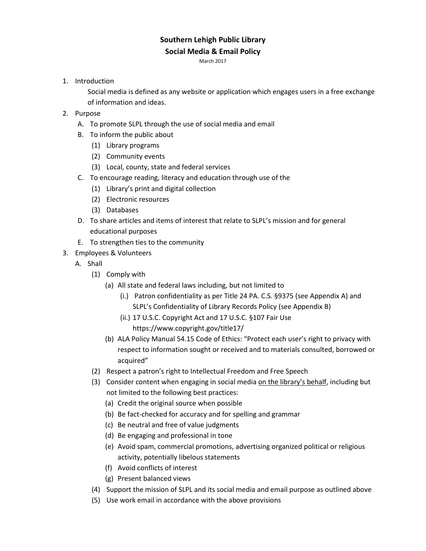# **Southern Lehigh Public Library**

#### **Social Media & Email Policy**

March 2017

1. Introduction

Social media is defined as any website or application which engages users in a free exchange of information and ideas.

- 2. Purpose
	- A. To promote SLPL through the use of social media and email
	- B. To inform the public about
		- (1) Library programs
		- (2) Community events
		- (3) Local, county, state and federal services
	- C. To encourage reading, literacy and education through use of the
		- (1) Library's print and digital collection
		- (2) Electronic resources
		- (3) Databases
	- D. To share articles and items of interest that relate to SLPL's mission and for general educational purposes
	- E. To strengthen ties to the community
- 3. Employees & Volunteers
	- A. Shall
		- (1) Comply with
			- (a) All state and federal laws including, but not limited to
				- (i.) Patron confidentiality as per Title 24 PA. C.S. §9375 (see Appendix A) and SLPL's Confidentiality of Library Records Policy (see Appendix B)
				- (ii.) 17 U.S.C. Copyright Act and 17 U.S.C. §107 Fair Use

https://www.copyright.gov/title17/

- (b) ALA Policy Manual 54.15 Code of Ethics: "Protect each user's right to privacy with respect to information sought or received and to materials consulted, borrowed or acquired"
- (2) Respect a patron's right to Intellectual Freedom and Free Speech
- (3) Consider content when engaging in social media on the library's behalf, including but not limited to the following best practices:
	- (a) Credit the original source when possible
	- (b) Be fact-checked for accuracy and for spelling and grammar
	- (c) Be neutral and free of value judgments
	- (d) Be engaging and professional in tone
	- (e) Avoid spam, commercial promotions, advertising organized political or religious activity, potentially libelous statements
	- (f) Avoid conflicts of interest
	- (g) Present balanced views
- (4) Support the mission of SLPL and its social media and email purpose as outlined above
- (5) Use work email in accordance with the above provisions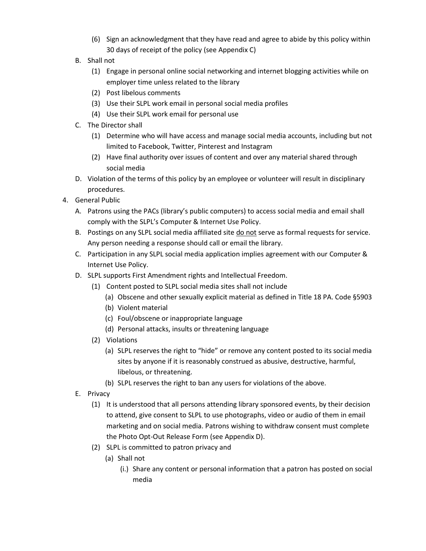- (6) Sign an acknowledgment that they have read and agree to abide by this policy within 30 days of receipt of the policy (see Appendix C)
- B. Shall not
	- (1) Engage in personal online social networking and internet blogging activities while on employer time unless related to the library
	- (2) Post libelous comments
	- (3) Use their SLPL work email in personal social media profiles
	- (4) Use their SLPL work email for personal use
- C. The Director shall
	- (1) Determine who will have access and manage social media accounts, including but not limited to Facebook, Twitter, Pinterest and Instagram
	- (2) Have final authority over issues of content and over any material shared through social media
- D. Violation of the terms of this policy by an employee or volunteer will result in disciplinary procedures.
- 4. General Public
	- A. Patrons using the PACs (library's public computers) to access social media and email shall comply with the SLPL's Computer & Internet Use Policy.
	- B. Postings on any SLPL social media affiliated site do not serve as formal requests for service. Any person needing a response should call or email the library.
	- C. Participation in any SLPL social media application implies agreement with our Computer & Internet Use Policy.
	- D. SLPL supports First Amendment rights and Intellectual Freedom.
		- (1) Content posted to SLPL social media sites shall not include
			- (a) Obscene and other sexually explicit material as defined in Title 18 PA. Code §5903
			- (b) Violent material
			- (c) Foul/obscene or inappropriate language
			- (d) Personal attacks, insults or threatening language
		- (2) Violations
			- (a) SLPL reserves the right to "hide" or remove any content posted to its social media sites by anyone if it is reasonably construed as abusive, destructive, harmful, libelous, or threatening.
			- (b) SLPL reserves the right to ban any users for violations of the above.
	- E. Privacy
		- (1) It is understood that all persons attending library sponsored events, by their decision to attend, give consent to SLPL to use photographs, video or audio of them in email marketing and on social media. Patrons wishing to withdraw consent must complete the Photo Opt-Out Release Form (see Appendix D).
		- (2) SLPL is committed to patron privacy and
			- (a) Shall not
				- (i.) Share any content or personal information that a patron has posted on social media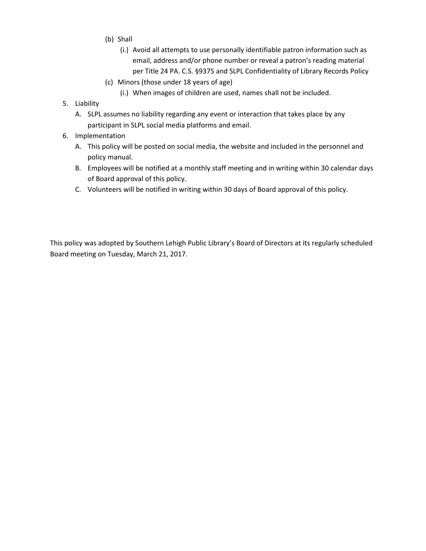- (b) Shall
	- (i.) Avoid all attempts to use personally identifiable patron information such as email, address and/or phone number or reveal a patron's reading material per Title 24 PA. C.S. §9375 and SLPL Confidentiality of Library Records Policy
- (c) Minors (those under 18 years of age)
	- (i.) When images of children are used, names shall not be included.
- 5. Liability
	- A. SLPL assumes no liability regarding any event or interaction that takes place by any participant in SLPL social media platforms and email.
- 6. Implementation
	- A. This policy will be posted on social media, the website and included in the personnel and policy manual.
	- B. Employees will be notified at a monthly staff meeting and in writing within 30 calendar days of Board approval of this policy.
	- C. Volunteers will be notified in writing within 30 days of Board approval of this policy.

This policy was adopted by Southern Lehigh Public Library's Board of Directors at its regularly scheduled Board meeting on Tuesday, March 21, 2017.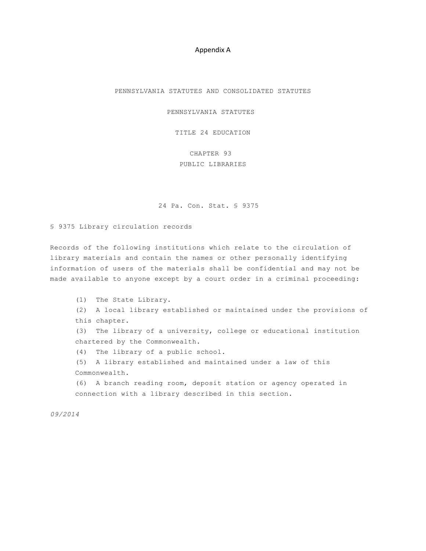#### Appendix A

PENNSYLVANIA STATUTES AND CONSOLIDATED STATUTES

PENNSYLVANIA STATUTES

TITLE 24 EDUCATION

CHAPTER 93 PUBLIC LIBRARIES

24 Pa. Con. Stat. § 9375

§ 9375 Library circulation records

Records of the following institutions which relate to the circulation of library materials and contain the names or other personally identifying information of users of the materials shall be confidential and may not be made available to anyone except by a court order in a criminal proceeding:

(1) The State Library. (2) A local library established or maintained under the provisions of this chapter. (3) The library of a university, college or educational institution chartered by the Commonwealth. (4) The library of a public school. (5) A library established and maintained under a law of this Commonwealth. (6) A branch reading room, deposit station or agency operated in connection with a library described in this section.

*09/2014*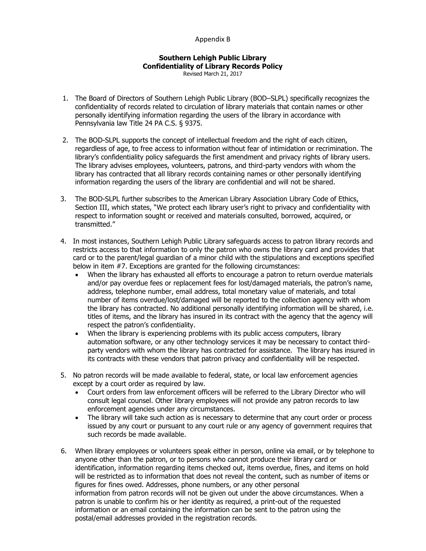#### Appendix B

### **Southern Lehigh Public Library Confidentiality of Library Records Policy**

Revised March 21, 2017

- 1. The Board of Directors of Southern Lehigh Public Library (BOD–SLPL) specifically recognizes the confidentiality of records related to circulation of library materials that contain names or other personally identifying information regarding the users of the library in accordance with Pennsylvania law Title 24 PA C.S. § 9375.
- 2. The BOD-SLPL supports the concept of intellectual freedom and the right of each citizen, regardless of age, to free access to information without fear of intimidation or recrimination. The library's confidentiality policy safeguards the first amendment and privacy rights of library users. The library advises employees, volunteers, patrons, and third-party vendors with whom the library has contracted that all library records containing names or other personally identifying information regarding the users of the library are confidential and will not be shared.
- 3. The BOD-SLPL further subscribes to the American Library Association Library Code of Ethics, Section III, which states, "We protect each library user's right to privacy and confidentiality with respect to information sought or received and materials consulted, borrowed, acquired, or transmitted."
- 4. In most instances, Southern Lehigh Public Library safeguards access to patron library records and restricts access to that information to only the patron who owns the library card and provides that card or to the parent/legal guardian of a minor child with the stipulations and exceptions specified below in item #7. Exceptions are granted for the following circumstances:
	- When the library has exhausted all efforts to encourage a patron to return overdue materials and/or pay overdue fees or replacement fees for lost/damaged materials, the patron's name, address, telephone number, email address, total monetary value of materials, and total number of items overdue/lost/damaged will be reported to the collection agency with whom the library has contracted. No additional personally identifying information will be shared, i.e. titles of items, and the library has insured in its contract with the agency that the agency will respect the patron's confidentiality.
	- When the library is experiencing problems with its public access computers, library automation software, or any other technology services it may be necessary to contact thirdparty vendors with whom the library has contracted for assistance. The library has insured in its contracts with these vendors that patron privacy and confidentiality will be respected.
- 5. No patron records will be made available to federal, state, or local law enforcement agencies except by a court order as required by law.
	- Court orders from law enforcement officers will be referred to the Library Director who will consult legal counsel. Other library employees will not provide any patron records to law enforcement agencies under any circumstances.
	- The library will take such action as is necessary to determine that any court order or process issued by any court or pursuant to any court rule or any agency of government requires that such records be made available.
- 6. When library employees or volunteers speak either in person, online via email, or by telephone to anyone other than the patron, or to persons who cannot produce their library card or identification, information regarding items checked out, items overdue, fines, and items on hold will be restricted as to information that does not reveal the content, such as number of items or figures for fines owed. Addresses, phone numbers, or any other personal information from patron records will not be given out under the above circumstances. When a patron is unable to confirm his or her identity as required, a print-out of the requested information or an email containing the information can be sent to the patron using the postal/email addresses provided in the registration records.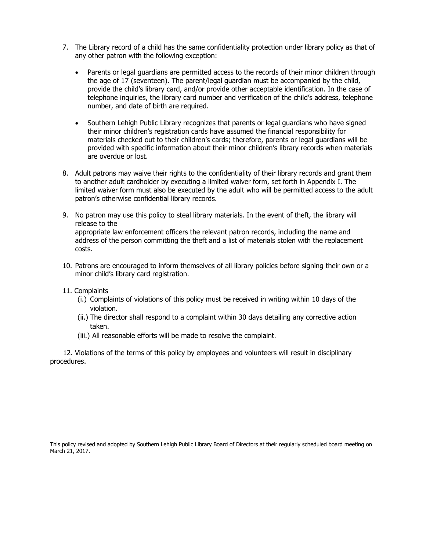- 7. The Library record of a child has the same confidentiality protection under library policy as that of any other patron with the following exception:
	- Parents or legal guardians are permitted access to the records of their minor children through the age of 17 (seventeen). The parent/legal guardian must be accompanied by the child, provide the child's library card, and/or provide other acceptable identification. In the case of telephone inquiries, the library card number and verification of the child's address, telephone number, and date of birth are required.
	- Southern Lehigh Public Library recognizes that parents or legal guardians who have signed their minor children's registration cards have assumed the financial responsibility for materials checked out to their children's cards; therefore, parents or legal guardians will be provided with specific information about their minor children's library records when materials are overdue or lost.
- 8. Adult patrons may waive their rights to the confidentiality of their library records and grant them to another adult cardholder by executing a limited waiver form, set forth in Appendix I. The limited waiver form must also be executed by the adult who will be permitted access to the adult patron's otherwise confidential library records.
- 9. No patron may use this policy to steal library materials. In the event of theft, the library will release to the appropriate law enforcement officers the relevant patron records, including the name and address of the person committing the theft and a list of materials stolen with the replacement costs.
- 10. Patrons are encouraged to inform themselves of all library policies before signing their own or a minor child's library card registration.

#### 11. Complaints

- (i.) Complaints of violations of this policy must be received in writing within 10 days of the violation.
- (ii.) The director shall respond to a complaint within 30 days detailing any corrective action taken.
- (iii.) All reasonable efforts will be made to resolve the complaint.

 12. Violations of the terms of this policy by employees and volunteers will result in disciplinary procedures.

This policy revised and adopted by Southern Lehigh Public Library Board of Directors at their regularly scheduled board meeting on March 21, 2017.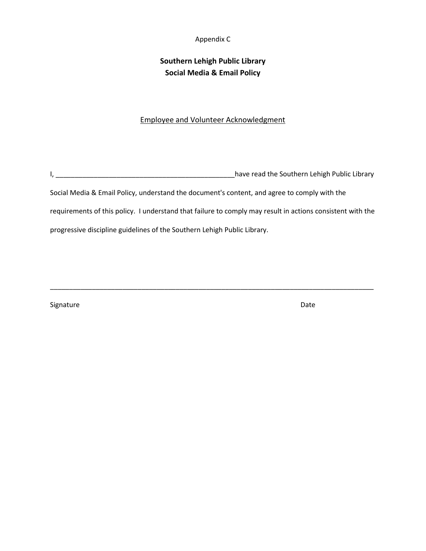#### Appendix C

## **Southern Lehigh Public Library Social Media & Email Policy**

### Employee and Volunteer Acknowledgment

I, \_\_\_\_\_\_\_\_\_\_\_\_\_\_\_\_\_\_\_\_\_\_\_\_\_\_\_\_\_\_\_\_\_\_\_\_\_\_\_\_\_\_\_\_\_\_\_have read the Southern Lehigh Public Library

Social Media & Email Policy, understand the document's content, and agree to comply with the

requirements of this policy. I understand that failure to comply may result in actions consistent with the

\_\_\_\_\_\_\_\_\_\_\_\_\_\_\_\_\_\_\_\_\_\_\_\_\_\_\_\_\_\_\_\_\_\_\_\_\_\_\_\_\_\_\_\_\_\_\_\_\_\_\_\_\_\_\_\_\_\_\_\_\_\_\_\_\_\_\_\_\_\_\_\_\_\_\_\_\_\_\_\_\_\_\_\_\_

progressive discipline guidelines of the Southern Lehigh Public Library.

Signature Date Date Communications and the Date Date Date Date